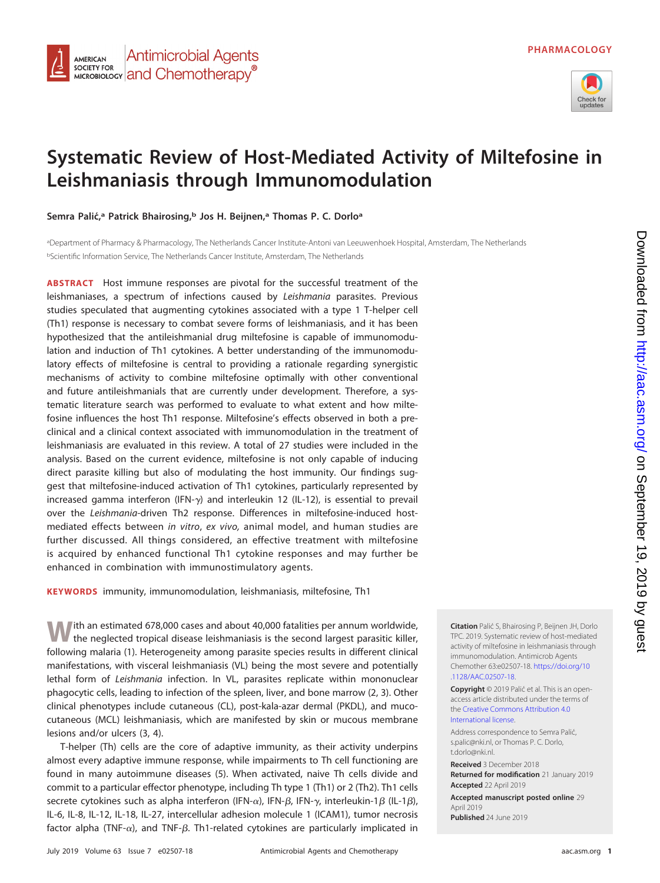

# **Systematic Review of Host-Mediated Activity of Miltefosine in Leishmaniasis through Immunomodulation**

**Semra Palic´,<sup>a</sup> Patrick Bhairosing,b Jos H. Beijnen,a Thomas P. C. Dorloa**

**Antimicrobial Agents** 

MICROBIOLOGY **and Chemotherapy**<sup>®</sup>

**AMERICAN SOCIETY FOR** 

a Department of Pharmacy & Pharmacology, The Netherlands Cancer Institute-Antoni van Leeuwenhoek Hospital, Amsterdam, The Netherlands <sup>b</sup>Scientific Information Service, The Netherlands Cancer Institute, Amsterdam, The Netherlands

**ABSTRACT** Host immune responses are pivotal for the successful treatment of the leishmaniases, a spectrum of infections caused by Leishmania parasites. Previous studies speculated that augmenting cytokines associated with a type 1 T-helper cell (Th1) response is necessary to combat severe forms of leishmaniasis, and it has been hypothesized that the antileishmanial drug miltefosine is capable of immunomodulation and induction of Th1 cytokines. A better understanding of the immunomodulatory effects of miltefosine is central to providing a rationale regarding synergistic mechanisms of activity to combine miltefosine optimally with other conventional and future antileishmanials that are currently under development. Therefore, a systematic literature search was performed to evaluate to what extent and how miltefosine influences the host Th1 response. Miltefosine's effects observed in both a preclinical and a clinical context associated with immunomodulation in the treatment of leishmaniasis are evaluated in this review. A total of 27 studies were included in the analysis. Based on the current evidence, miltefosine is not only capable of inducing direct parasite killing but also of modulating the host immunity. Our findings suggest that miltefosine-induced activation of Th1 cytokines, particularly represented by increased gamma interferon (IFN- $\gamma$ ) and interleukin 12 (IL-12), is essential to prevail over the Leishmania-driven Th2 response. Differences in miltefosine-induced hostmediated effects between in vitro, ex vivo, animal model, and human studies are further discussed. All things considered, an effective treatment with miltefosine is acquired by enhanced functional Th1 cytokine responses and may further be enhanced in combination with immunostimulatory agents.

**KEYWORDS** immunity, immunomodulation, leishmaniasis, miltefosine, Th1

**W**ith an estimated 678,000 cases and about 40,000 fatalities per annum worldwide, the neglected tropical disease leishmaniasis is the second largest parasitic killer, following malaria [\(1\)](#page-12-0). Heterogeneity among parasite species results in different clinical manifestations, with visceral leishmaniasis (VL) being the most severe and potentially lethal form of Leishmania infection. In VL, parasites replicate within mononuclear phagocytic cells, leading to infection of the spleen, liver, and bone marrow [\(2,](#page-12-1) [3\)](#page-12-2). Other clinical phenotypes include cutaneous (CL), post-kala-azar dermal (PKDL), and mucocutaneous (MCL) leishmaniasis, which are manifested by skin or mucous membrane lesions and/or ulcers [\(3,](#page-12-2) [4\)](#page-12-3).

T-helper (Th) cells are the core of adaptive immunity, as their activity underpins almost every adaptive immune response, while impairments to Th cell functioning are found in many autoimmune diseases [\(5\)](#page-12-4). When activated, naive Th cells divide and commit to a particular effector phenotype, including Th type 1 (Th1) or 2 (Th2). Th1 cells secrete cytokines such as alpha interferon (IFN- $\alpha$ ), IFN- $\beta$ , IFN- $\gamma$ , interleukin-1 $\beta$  (IL-1 $\beta$ ), IL-6, IL-8, IL-12, IL-18, IL-27, intercellular adhesion molecule 1 (ICAM1), tumor necrosis factor alpha (TNF- $\alpha$ ), and TNF- $\beta$ . Th1-related cytokines are particularly implicated in **Citation** Palić S, Bhairosing P, Beijnen JH, Dorlo TPC. 2019. Systematic review of host-mediated activity of miltefosine in leishmaniasis through immunomodulation. Antimicrob Agents Chemother 63:e02507-18. [https://doi.org/10](https://doi.org/10.1128/AAC.02507-18) [.1128/AAC.02507-18.](https://doi.org/10.1128/AAC.02507-18)

**Copyright** © 2019 Palić et al. This is an openaccess article distributed under the terms of the [Creative Commons Attribution 4.0](https://creativecommons.org/licenses/by/4.0/) [International](https://creativecommons.org/licenses/by/4.0/) license.

Address correspondence to Semra Palić, [s.palic@nki.nl,](mailto:s.palic@nki.nl) or Thomas P. C. Dorlo, [t.dorlo@nki.nl.](mailto:t.dorlo@nki.nl)

**Received** 3 December 2018 **Returned for modification** 21 January 2019

**Accepted** 22 April 2019

**Accepted manuscript posted online** 29 April 2019 **Published** 24 June 2019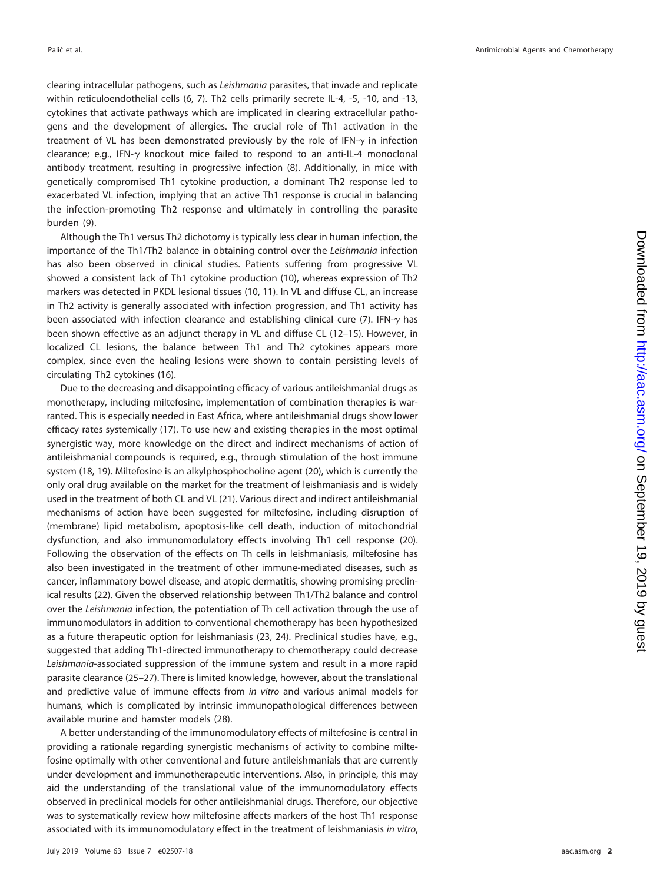clearing intracellular pathogens, such as Leishmania parasites, that invade and replicate within reticuloendothelial cells [\(6,](#page-12-5) [7\)](#page-12-6). Th2 cells primarily secrete IL-4, -5, -10, and -13, cytokines that activate pathways which are implicated in clearing extracellular pathogens and the development of allergies. The crucial role of Th1 activation in the treatment of VL has been demonstrated previously by the role of IFN- $\gamma$  in infection clearance; e.g., IFN- $\gamma$  knockout mice failed to respond to an anti-IL-4 monoclonal antibody treatment, resulting in progressive infection [\(8\)](#page-12-7). Additionally, in mice with genetically compromised Th1 cytokine production, a dominant Th2 response led to exacerbated VL infection, implying that an active Th1 response is crucial in balancing the infection-promoting Th2 response and ultimately in controlling the parasite burden [\(9\)](#page-12-8).

Although the Th1 versus Th2 dichotomy is typically less clear in human infection, the importance of the Th1/Th2 balance in obtaining control over the Leishmania infection has also been observed in clinical studies. Patients suffering from progressive VL showed a consistent lack of Th1 cytokine production [\(10\)](#page-12-9), whereas expression of Th2 markers was detected in PKDL lesional tissues [\(10,](#page-12-9) [11\)](#page-12-10). In VL and diffuse CL, an increase in Th2 activity is generally associated with infection progression, and Th1 activity has been associated with infection clearance and establishing clinical cure [\(7\)](#page-12-6). IFN- $\gamma$  has been shown effective as an adjunct therapy in VL and diffuse CL [\(12](#page-12-11)[–](#page-12-12)[15\)](#page-12-13). However, in localized CL lesions, the balance between Th1 and Th2 cytokines appears more complex, since even the healing lesions were shown to contain persisting levels of circulating Th2 cytokines [\(16\)](#page-12-14).

Due to the decreasing and disappointing efficacy of various antileishmanial drugs as monotherapy, including miltefosine, implementation of combination therapies is warranted. This is especially needed in East Africa, where antileishmanial drugs show lower efficacy rates systemically [\(17\)](#page-12-15). To use new and existing therapies in the most optimal synergistic way, more knowledge on the direct and indirect mechanisms of action of antileishmanial compounds is required, e.g., through stimulation of the host immune system [\(18,](#page-13-0) [19\)](#page-13-1). Miltefosine is an alkylphosphocholine agent [\(20\)](#page-13-2), which is currently the only oral drug available on the market for the treatment of leishmaniasis and is widely used in the treatment of both CL and VL [\(21\)](#page-13-3). Various direct and indirect antileishmanial mechanisms of action have been suggested for miltefosine, including disruption of (membrane) lipid metabolism, apoptosis-like cell death, induction of mitochondrial dysfunction, and also immunomodulatory effects involving Th1 cell response [\(20\)](#page-13-2). Following the observation of the effects on Th cells in leishmaniasis, miltefosine has also been investigated in the treatment of other immune-mediated diseases, such as cancer, inflammatory bowel disease, and atopic dermatitis, showing promising preclinical results [\(22\)](#page-13-4). Given the observed relationship between Th1/Th2 balance and control over the Leishmania infection, the potentiation of Th cell activation through the use of immunomodulators in addition to conventional chemotherapy has been hypothesized as a future therapeutic option for leishmaniasis [\(23,](#page-13-5) [24\)](#page-13-6). Preclinical studies have, e.g., suggested that adding Th1-directed immunotherapy to chemotherapy could decrease Leishmania-associated suppression of the immune system and result in a more rapid parasite clearance [\(25](#page-13-7)[–](#page-13-8)[27\)](#page-13-9). There is limited knowledge, however, about the translational and predictive value of immune effects from in vitro and various animal models for humans, which is complicated by intrinsic immunopathological differences between available murine and hamster models [\(28\)](#page-13-10).

A better understanding of the immunomodulatory effects of miltefosine is central in providing a rationale regarding synergistic mechanisms of activity to combine miltefosine optimally with other conventional and future antileishmanials that are currently under development and immunotherapeutic interventions. Also, in principle, this may aid the understanding of the translational value of the immunomodulatory effects observed in preclinical models for other antileishmanial drugs. Therefore, our objective was to systematically review how miltefosine affects markers of the host Th1 response associated with its immunomodulatory effect in the treatment of leishmaniasis in vitro,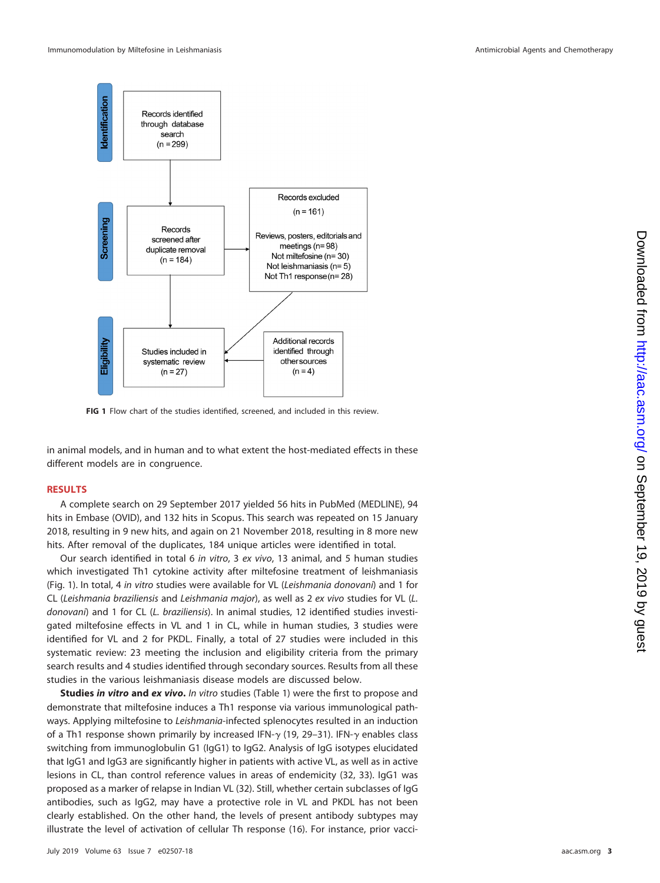

<span id="page-2-0"></span>**FIG 1** Flow chart of the studies identified, screened, and included in this review.

in animal models, and in human and to what extent the host-mediated effects in these different models are in congruence.

# **RESULTS**

A complete search on 29 September 2017 yielded 56 hits in PubMed (MEDLINE), 94 hits in Embase (OVID), and 132 hits in Scopus. This search was repeated on 15 January 2018, resulting in 9 new hits, and again on 21 November 2018, resulting in 8 more new hits. After removal of the duplicates, 184 unique articles were identified in total.

Our search identified in total 6 in vitro, 3 ex vivo, 13 animal, and 5 human studies which investigated Th1 cytokine activity after miltefosine treatment of leishmaniasis [\(Fig. 1\)](#page-2-0). In total, 4 in vitro studies were available for VL (Leishmania donovani) and 1 for CL (Leishmania braziliensis and Leishmania major), as well as 2 ex vivo studies for VL (L. donovani) and 1 for CL (L. braziliensis). In animal studies, 12 identified studies investigated miltefosine effects in VL and 1 in CL, while in human studies, 3 studies were identified for VL and 2 for PKDL. Finally, a total of 27 studies were included in this systematic review: 23 meeting the inclusion and eligibility criteria from the primary search results and 4 studies identified through secondary sources. Results from all these studies in the various leishmaniasis disease models are discussed below.

**Studies** *in vitro* **and** *ex vivo***.** In vitro studies [\(Table 1\)](#page-3-0) were the first to propose and demonstrate that miltefosine induces a Th1 response via various immunological pathways. Applying miltefosine to Leishmania-infected splenocytes resulted in an induction of a Th1 response shown primarily by increased IFN- $\gamma$  [\(19,](#page-13-1) [29](#page-13-11)[–](#page-13-12)[31\)](#page-13-13). IFN- $\gamma$  enables class switching from immunoglobulin G1 (IgG1) to IgG2. Analysis of IgG isotypes elucidated that IgG1 and IgG3 are significantly higher in patients with active VL, as well as in active lesions in CL, than control reference values in areas of endemicity [\(32,](#page-13-14) [33\)](#page-13-15). IgG1 was proposed as a marker of relapse in Indian VL [\(32\)](#page-13-14). Still, whether certain subclasses of IgG antibodies, such as IgG2, may have a protective role in VL and PKDL has not been clearly established. On the other hand, the levels of present antibody subtypes may illustrate the level of activation of cellular Th response [\(16\)](#page-12-14). For instance, prior vacci-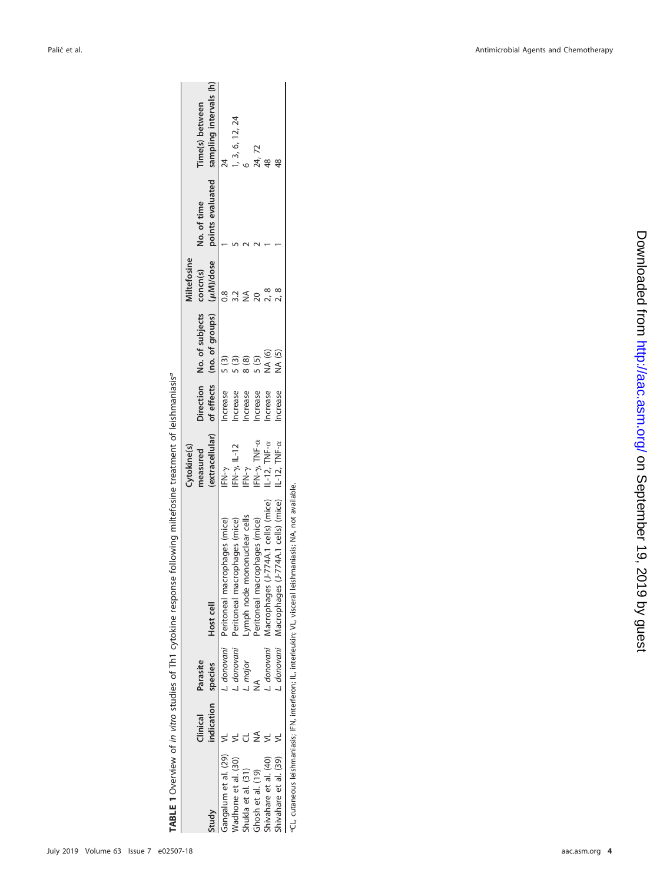|                         |            |            |                                                      | Cytokine(s)                   |         |                                            | <b>Ailtefosine</b> |                  |                        |
|-------------------------|------------|------------|------------------------------------------------------|-------------------------------|---------|--------------------------------------------|--------------------|------------------|------------------------|
|                         | Clinical   | Parasite   |                                                      | neasured                      |         | Direction No. of subjects                  | concm(s)           | No. of time      | ime(s) between         |
| <b>Tuudy</b>            | indication | species    | Host cell                                            | extracellular)                |         | of effects (no. of groups) ( $\mu$ M)/dose |                    | points evaluated | sampling intervals (h) |
| Gangalum et al. (29) VL |            |            | donovani Peritoneal macrophages (mice)               | $FN-\gamma$                   | ncrease | $\frac{5}{3}$                              |                    |                  |                        |
| Wadhone et al. (30)     |            |            | L. donovani Peritoneal macrophages (mice)            | $FN - \gamma$ , IL-12         | ncrease | $\frac{1}{2}$                              |                    |                  | , 3, 6, 12, 24         |
| Shukla et al. (31)      |            | . major    | Lymph node mononuclear cells                         | IFN- $\gamma$                 | ncrease |                                            |                    |                  |                        |
| Ghosh et al. (19)       |            |            | Peritoneal macrophages (mice)                        | IFN- $\gamma$ , TNF- $\alpha$ | ncrease | $\overline{5}$                             |                    |                  | 24,72                  |
| Shivahare et al. (40)   |            | . donovani | (J-774A.1 cells) (mice)<br>Macrophages               | IL-12, $TNF-\alpha$           | ncrease | NA (6)                                     |                    |                  |                        |
| Shivahare et al. (39)   |            |            | $(J-774A.1$ cells) (mice)<br>L. donovani Macrophages | IL-12, $TNF-\alpha$           | ncrease | NA (5)                                     |                    |                  |                        |

TABLE 1 Overview of in vitro studies of Th1 cytokine response following miltefosine treatment of leishmaniasisa **TABLE 1** Overview of in vitro studies of Th1 cytokine response following miltefosine treatment of leishmaniasisa

<span id="page-3-0"></span><sup>a</sup>CL, cutaneous leishmaniasis; IFN, interferon; IL, interleukin; VL, visceral leishmaniasis; NA, not available. aCL, cutaneous leishmaniasis; IFN, interferon; IL, interleukin; VL, visceral leishmaniasis; NA, not available.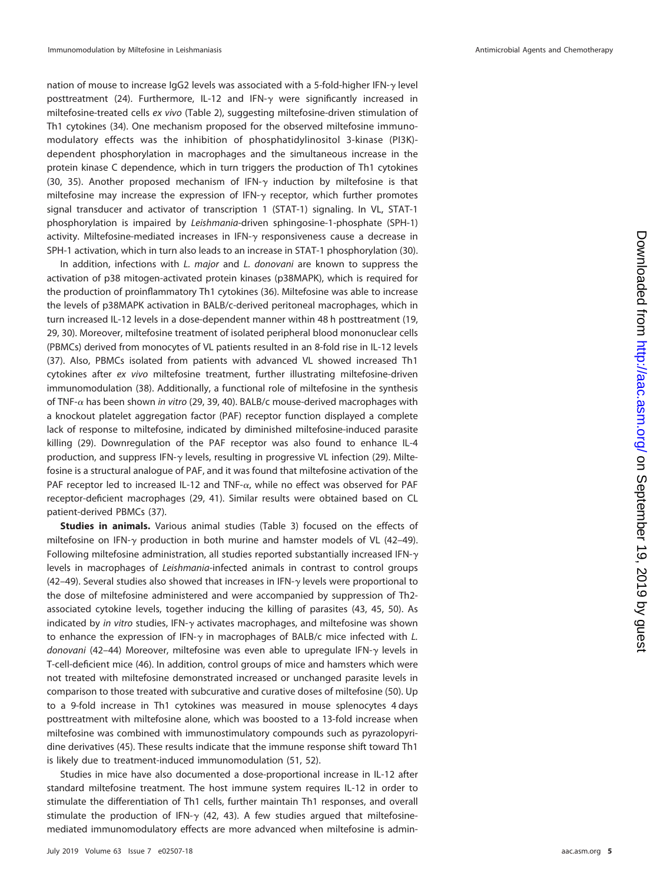nation of mouse to increase IgG2 levels was associated with a 5-fold-higher IFN- $\gamma$  level posttreatment [\(24\)](#page-13-6). Furthermore, IL-12 and IFN- $\gamma$  were significantly increased in miltefosine-treated cells ex vivo [\(Table 2\)](#page-5-0), suggesting miltefosine-driven stimulation of Th1 cytokines [\(34\)](#page-13-18). One mechanism proposed for the observed miltefosine immunomodulatory effects was the inhibition of phosphatidylinositol 3-kinase (PI3K) dependent phosphorylation in macrophages and the simultaneous increase in the protein kinase C dependence, which in turn triggers the production of Th1 cytokines [\(30,](#page-13-12) [35\)](#page-13-19). Another proposed mechanism of IFN- $\gamma$  induction by miltefosine is that miltefosine may increase the expression of IFN- $\gamma$  receptor, which further promotes signal transducer and activator of transcription 1 (STAT-1) signaling. In VL, STAT-1 phosphorylation is impaired by Leishmania-driven sphingosine-1-phosphate (SPH-1) activity. Miltefosine-mediated increases in IFN- $\gamma$  responsiveness cause a decrease in SPH-1 activation, which in turn also leads to an increase in STAT-1 phosphorylation [\(30\)](#page-13-12).

In addition, infections with L. major and L. donovani are known to suppress the activation of p38 mitogen-activated protein kinases (p38MAPK), which is required for the production of proinflammatory Th1 cytokines [\(36\)](#page-13-20). Miltefosine was able to increase the levels of p38MAPK activation in BALB/c-derived peritoneal macrophages, which in turn increased IL-12 levels in a dose-dependent manner within 48 h posttreatment [\(19,](#page-13-1) [29,](#page-13-11) [30\)](#page-13-12). Moreover, miltefosine treatment of isolated peripheral blood mononuclear cells (PBMCs) derived from monocytes of VL patients resulted in an 8-fold rise in IL-12 levels [\(37\)](#page-13-21). Also, PBMCs isolated from patients with advanced VL showed increased Th1 cytokines after ex vivo miltefosine treatment, further illustrating miltefosine-driven immunomodulation [\(38\)](#page-13-22). Additionally, a functional role of miltefosine in the synthesis of TNF- $\alpha$  has been shown in vitro [\(29,](#page-13-11) [39,](#page-13-17) [40\)](#page-13-16). BALB/c mouse-derived macrophages with a knockout platelet aggregation factor (PAF) receptor function displayed a complete lack of response to miltefosine, indicated by diminished miltefosine-induced parasite killing [\(29\)](#page-13-11). Downregulation of the PAF receptor was also found to enhance IL-4 production, and suppress IFN- $\gamma$  levels, resulting in progressive VL infection [\(29\)](#page-13-11). Miltefosine is a structural analogue of PAF, and it was found that miltefosine activation of the PAF receptor led to increased IL-12 and TNF- $\alpha$ , while no effect was observed for PAF receptor-deficient macrophages [\(29,](#page-13-11) [41\)](#page-13-23). Similar results were obtained based on CL patient-derived PBMCs [\(37\)](#page-13-21).

**Studies in animals.** Various animal studies [\(Table 3\)](#page-6-0) focused on the effects of miltefosine on IFN- $\gamma$  production in both murine and hamster models of VL [\(42](#page-13-24)[–](#page-13-25)[49\)](#page-13-26). Following miltefosine administration, all studies reported substantially increased IFN- $\gamma$ levels in macrophages of Leishmania-infected animals in contrast to control groups  $(42-49)$  $(42-49)$  $(42-49)$ . Several studies also showed that increases in IFN- $\gamma$  levels were proportional to the dose of miltefosine administered and were accompanied by suppression of Th2 associated cytokine levels, together inducing the killing of parasites [\(43,](#page-13-27) [45,](#page-13-28) [50\)](#page-13-29). As indicated by in vitro studies, IFN- $\gamma$  activates macrophages, and miltefosine was shown to enhance the expression of IFN- $\gamma$  in macrophages of BALB/c mice infected with L. donovani [\(42](#page-13-24)[–](#page-13-27)[44\)](#page-13-30) Moreover, miltefosine was even able to upregulate IFN- $\gamma$  levels in T-cell-deficient mice [\(46\)](#page-13-31). In addition, control groups of mice and hamsters which were not treated with miltefosine demonstrated increased or unchanged parasite levels in comparison to those treated with subcurative and curative doses of miltefosine [\(50\)](#page-13-29). Up to a 9-fold increase in Th1 cytokines was measured in mouse splenocytes 4 days posttreatment with miltefosine alone, which was boosted to a 13-fold increase when miltefosine was combined with immunostimulatory compounds such as pyrazolopyridine derivatives [\(45\)](#page-13-28). These results indicate that the immune response shift toward Th1 is likely due to treatment-induced immunomodulation [\(51,](#page-13-32) [52\)](#page-14-0).

Studies in mice have also documented a dose-proportional increase in IL-12 after standard miltefosine treatment. The host immune system requires IL-12 in order to stimulate the differentiation of Th1 cells, further maintain Th1 responses, and overall stimulate the production of IFN- $\gamma$  [\(42,](#page-13-24) [43\)](#page-13-27). A few studies argued that miltefosinemediated immunomodulatory effects are more advanced when miltefosine is admin-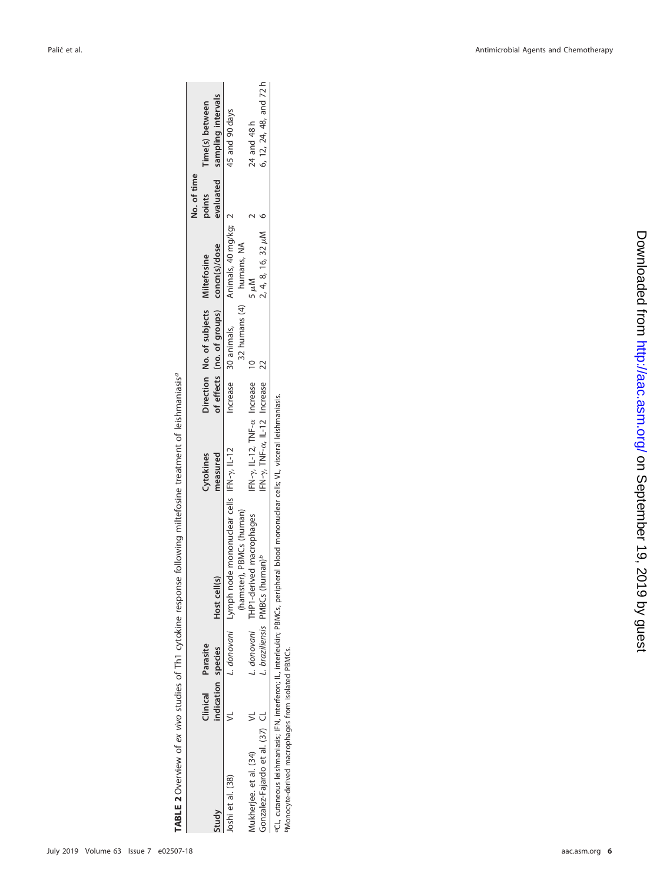|                                                | $\frac{1}{2}$ |
|------------------------------------------------|---------------|
|                                                |               |
| Í                                              |               |
| )<br>5<br>5<br>5<br>٢<br>d<br>l<br>I<br>ļ<br>į |               |

|                                 |                 |             |                                                       |                                               |                                          |                         | No. of time |                              |
|---------------------------------|-----------------|-------------|-------------------------------------------------------|-----------------------------------------------|------------------------------------------|-------------------------|-------------|------------------------------|
|                                 | <b>Ilinical</b> | Parasite    |                                                       | <b>Cytokines</b>                              | Direction No. of subjects Miltefosine    |                         | points      | Time(s) between              |
| Study                           | ndication       | species     | Host cell(s)                                          | neasured                                      | of effects (no. of groups) concn(s)/dose |                         |             | evaluated sampling intervals |
| loshi et al. (38)               |                 |             | L. donovani Lymph node mononuclear cells IFN-y, IL-12 |                                               | Increase 30 animals,                     | Animals, 40 mg/kg; 2    |             | 45 and 90 days               |
|                                 |                 |             | Thamster), PBMCs (human)                              |                                               | 32 humans (4) humans, NA                 |                         |             |                              |
| Aukherjee. et al. (34)          |                 | L. donovani | THP1-derived macrophages                              | FN-y, IL-12, TNF-a Increase                   |                                          |                         |             | 24 and 48 h                  |
| Jonzalez-Fajardo et al. (37) CL |                 |             | braziliensis PMBCs (human) <sup>b</sup>               | FN- $\gamma$ , TNF- $\alpha$ , IL-12 Increase |                                          | $2, 4, 8, 16, 32 \mu M$ |             | 6, 12, 24, 48, and 72 h      |
|                                 |                 |             |                                                       |                                               |                                          |                         |             |                              |

aCL, cutaneous leishmaniasis; IFN, interferon; IL, interleukin; PBMCs, peripheral blood mononuclear cells; VL, visceral leishmaniasis.

°CL, cutaneous leishmaniasis; IFN, interferon; IL, interleukin; PBMCs, peripheral blood mononuclear cells; VL, visceral leishmaniasis.<br>®Monocyte-derived macrophages from isolated PBMCs.

<span id="page-5-0"></span>bMonocyte-derived macrophages from isolated PBMCs.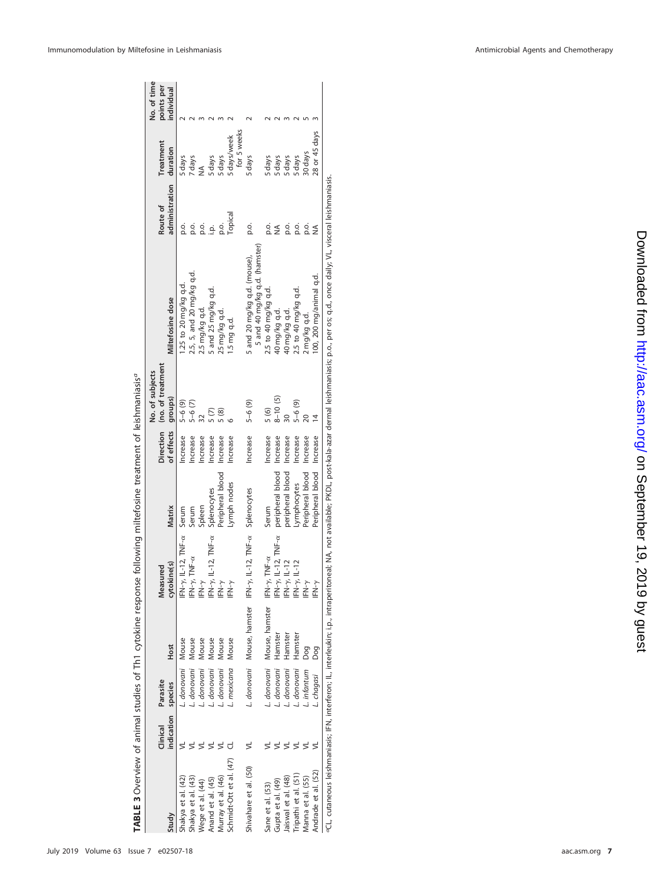|                         |                        |                     |                            |                                                  |                  |            | No. of subjects                        |                                                                                                                                                                                                                 |                            |                       | No. of time              |
|-------------------------|------------------------|---------------------|----------------------------|--------------------------------------------------|------------------|------------|----------------------------------------|-----------------------------------------------------------------------------------------------------------------------------------------------------------------------------------------------------------------|----------------------------|-----------------------|--------------------------|
| Study                   | indication<br>Clinical | Parasite<br>species | Host                       | cytokine(s)<br>Measured                          | Matrix           | of effects | Direction (no. of treatment<br>groups) | Miltefosine dose                                                                                                                                                                                                | administration<br>Route of | Treatment<br>duration | points per<br>individual |
|                         |                        |                     |                            |                                                  |                  |            |                                        |                                                                                                                                                                                                                 |                            |                       |                          |
| Shakya et al. (42)      |                        | L. donovani         | Mouse                      | IFN-y, IL-12, TNF-ax Serum                       |                  | ncrease    | $5 - 6$ (9)                            | 1.25 to 20 mg/kg q.d.                                                                                                                                                                                           | o.o                        | 5 days                |                          |
| Shakya et al. (43)      |                        | L. donovani         | Mouse                      | $FN - y$ , $TNF - \alpha$                        | Serum            | Increase   | $5 - 6(7)$                             | 2.5, 5, and 20 mg/kg q.d.                                                                                                                                                                                       | р.<br>С                    | 7 days                |                          |
| Wege et al. (44)        |                        | L. donovani         | Mouse                      | ∫<br>⊾                                           | Spleen           | ncrease    |                                        | 2.5 mg/kg q.d.                                                                                                                                                                                                  |                            |                       |                          |
| Anand et al. (45)       |                        | L. donovani         | Mouse                      | $F N-\gamma$ , IL-12, TNF- $\alpha$              | Splenocytes      | ncrease    | $\tilde{C}$                            | 5 and 25 mg/kg q.d.                                                                                                                                                                                             | o<br>Lo                    | 5 days                |                          |
| Murray et al. (46)      |                        | . donovani          | Mouse                      | ∫<br>⊾                                           | Peripheral blood | ncrease    | 5(8)                                   | 25 mg/kg q.d.                                                                                                                                                                                                   | p.o.                       | 5 days                |                          |
| Schmidt-Ott et al. (47) |                        | L. mexicana         | Mouse                      | ∫<br>⊾                                           | Lymph nodes      | Increase   |                                        | 1.5 mg q.d.                                                                                                                                                                                                     | Topical                    | 5 days/week           |                          |
|                         |                        |                     |                            |                                                  |                  |            |                                        |                                                                                                                                                                                                                 |                            | for 5 weeks           |                          |
| Shivahare et al. (50)   |                        |                     | L. donovani Mouse, hamster | IFN- $\gamma$ , IL-12, TNF- $\alpha$ Splenocytes |                  | Increase   | $5 - 6(9)$                             | 5 and 20 mg/kg q.d. (mouse),                                                                                                                                                                                    | ρ.                         | 5 days                |                          |
|                         |                        |                     |                            |                                                  |                  |            |                                        | 5 and 40 mg/kg q.d. (hamster)                                                                                                                                                                                   |                            |                       |                          |
| Sane et al. (53)        |                        |                     | L. donovani Mouse, hamster | IFN- $\nu$ , TNF- $\alpha$                       | Serum            | ncrease    | 5 (6)                                  | 2.5 to 40 mg/kg q.d.                                                                                                                                                                                            | o.<br>Q.                   | 5 days                |                          |
| Gupta et al. (49)       |                        | L. donovani         | Hamster                    | $FN - \gamma$ , IL-12, TNF- $\alpha$             | peripheral blood | Increase   | $8 - 10(5)$                            | 40 mg/kg q.d.                                                                                                                                                                                                   | $\frac{1}{2}$              |                       |                          |
| Jaiswal et al. (48)     |                        | L. donovani         | Hamster                    | $IFN - y, IL - 12$                               | peripheral blood | Increase   |                                        | 40 mg/kg q.d.                                                                                                                                                                                                   | p.o.                       | 5 days<br>5 days      |                          |
| Tripathi et al. (51)    |                        | L. donovani Hamster |                            | $FN - y$ , $L - 12$                              | Lymphocytes      | ncrease    | $5 - 6(9)$                             | 2.5 to 40 mg/kg q.d.                                                                                                                                                                                            | p.o.                       | 5 days                |                          |
| Manna et al. (55)       |                        | L. infantum         | Doq                        | ∫~N<br>IFN                                       | Peripheral blood | Increase   |                                        | 2 mg/kg q.d.                                                                                                                                                                                                    | ρ.                         | 30 days               |                          |
| Andrade et al. (52)     |                        | . chagasi           | Dog                        | ∫<br>⊾                                           | Peripheral blood | Increase   |                                        | 00, 200 mg/animal q.d.                                                                                                                                                                                          |                            | 28 or 45 days         |                          |
|                         |                        |                     |                            |                                                  |                  |            |                                        | eCL, cutaneous leishmaniasis; IFN, interfevon; IL, interleukin; i.p., intraperitoneal; NA, not available; PKDL, post-kala-azar dermal leishmaniasis; p.o., per os; q.d., once daily; VL, visceral leishmaniasis |                            |                       |                          |

| .<br>.<br>.              |  |
|--------------------------|--|
|                          |  |
|                          |  |
|                          |  |
|                          |  |
| ١                        |  |
|                          |  |
| <br>ì                    |  |
|                          |  |
|                          |  |
|                          |  |
| $\overline{\phantom{a}}$ |  |
|                          |  |
|                          |  |
|                          |  |
|                          |  |
| $\overline{a}$<br>ļ      |  |
|                          |  |
|                          |  |
|                          |  |
|                          |  |
|                          |  |
|                          |  |
|                          |  |
|                          |  |
|                          |  |
| $\frac{1}{\epsilon}$     |  |
| ;<br> <br>I              |  |
| ś                        |  |
|                          |  |

<span id="page-6-0"></span>July 2019 Volume 63 Issue 7 e02507-18

aac.asm.org 7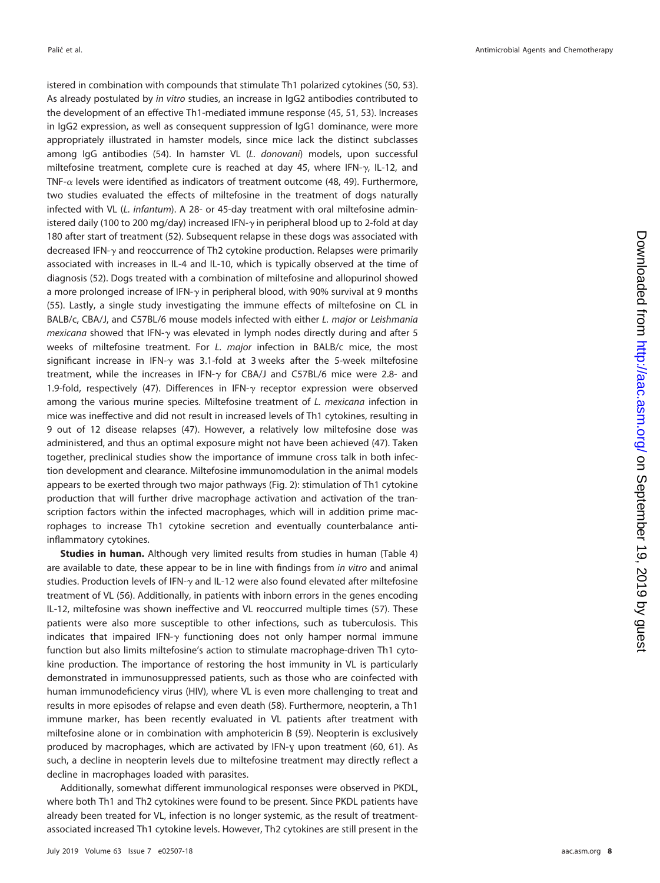Palic´ et al. **Antimicrobial Agents and Chemotherapy** and Chemotherapy and The Mathematic Agents and Chemotherapy

istered in combination with compounds that stimulate Th1 polarized cytokines [\(50,](#page-13-29) [53\)](#page-14-1). As already postulated by in vitro studies, an increase in IgG2 antibodies contributed to the development of an effective Th1-mediated immune response [\(45,](#page-13-28) [51,](#page-13-32) [53\)](#page-14-1). Increases in IgG2 expression, as well as consequent suppression of IgG1 dominance, were more appropriately illustrated in hamster models, since mice lack the distinct subclasses among IgG antibodies [\(54\)](#page-14-3). In hamster VL (L. donovani) models, upon successful miltefosine treatment, complete cure is reached at day 45, where IFN- $\gamma$ , IL-12, and TNF- $\alpha$  levels were identified as indicators of treatment outcome [\(48,](#page-13-25) [49\)](#page-13-26). Furthermore, two studies evaluated the effects of miltefosine in the treatment of dogs naturally infected with VL (L. infantum). A 28- or 45-day treatment with oral miltefosine administered daily (100 to 200 mg/day) increased IFN- $\gamma$  in peripheral blood up to 2-fold at day 180 after start of treatment [\(52\)](#page-14-0). Subsequent relapse in these dogs was associated with decreased IFN- $\gamma$  and reoccurrence of Th2 cytokine production. Relapses were primarily associated with increases in IL-4 and IL-10, which is typically observed at the time of diagnosis [\(52\)](#page-14-0). Dogs treated with a combination of miltefosine and allopurinol showed a more prolonged increase of IFN- $\gamma$  in peripheral blood, with 90% survival at 9 months [\(55\)](#page-14-2). Lastly, a single study investigating the immune effects of miltefosine on CL in BALB/c, CBA/J, and C57BL/6 mouse models infected with either L. major or Leishmania  $mexicana$  showed that IFN- $\gamma$  was elevated in lymph nodes directly during and after 5 weeks of miltefosine treatment. For L. major infection in BALB/c mice, the most significant increase in IFN- $\gamma$  was 3.1-fold at 3 weeks after the 5-week miltefosine treatment, while the increases in IFN- $\gamma$  for CBA/J and C57BL/6 mice were 2.8- and 1.9-fold, respectively [\(47\)](#page-13-33). Differences in IFN- $\gamma$  receptor expression were observed among the various murine species. Miltefosine treatment of L. mexicana infection in mice was ineffective and did not result in increased levels of Th1 cytokines, resulting in 9 out of 12 disease relapses [\(47\)](#page-13-33). However, a relatively low miltefosine dose was administered, and thus an optimal exposure might not have been achieved [\(47\)](#page-13-33). Taken together, preclinical studies show the importance of immune cross talk in both infection development and clearance. Miltefosine immunomodulation in the animal models appears to be exerted through two major pathways [\(Fig. 2\)](#page-8-0): stimulation of Th1 cytokine production that will further drive macrophage activation and activation of the transcription factors within the infected macrophages, which will in addition prime macrophages to increase Th1 cytokine secretion and eventually counterbalance antiinflammatory cytokines.

**Studies in human.** Although very limited results from studies in human [\(Table 4\)](#page-9-0) are available to date, these appear to be in line with findings from in vitro and animal studies. Production levels of IFN- $\gamma$  and IL-12 were also found elevated after miltefosine treatment of VL [\(56\)](#page-14-4). Additionally, in patients with inborn errors in the genes encoding IL-12, miltefosine was shown ineffective and VL reoccurred multiple times [\(57\)](#page-14-5). These patients were also more susceptible to other infections, such as tuberculosis. This indicates that impaired IFN- $\gamma$  functioning does not only hamper normal immune function but also limits miltefosine's action to stimulate macrophage-driven Th1 cytokine production. The importance of restoring the host immunity in VL is particularly demonstrated in immunosuppressed patients, such as those who are coinfected with human immunodeficiency virus (HIV), where VL is even more challenging to treat and results in more episodes of relapse and even death [\(58\)](#page-14-6). Furthermore, neopterin, a Th1 immune marker, has been recently evaluated in VL patients after treatment with miltefosine alone or in combination with amphotericin B [\(59\)](#page-14-7). Neopterin is exclusively produced by macrophages, which are activated by IFN-γ upon treatment [\(60,](#page-14-8) [61\)](#page-14-9). As such, a decline in neopterin levels due to miltefosine treatment may directly reflect a decline in macrophages loaded with parasites.

Additionally, somewhat different immunological responses were observed in PKDL, where both Th1 and Th2 cytokines were found to be present. Since PKDL patients have already been treated for VL, infection is no longer systemic, as the result of treatmentassociated increased Th1 cytokine levels. However, Th2 cytokines are still present in the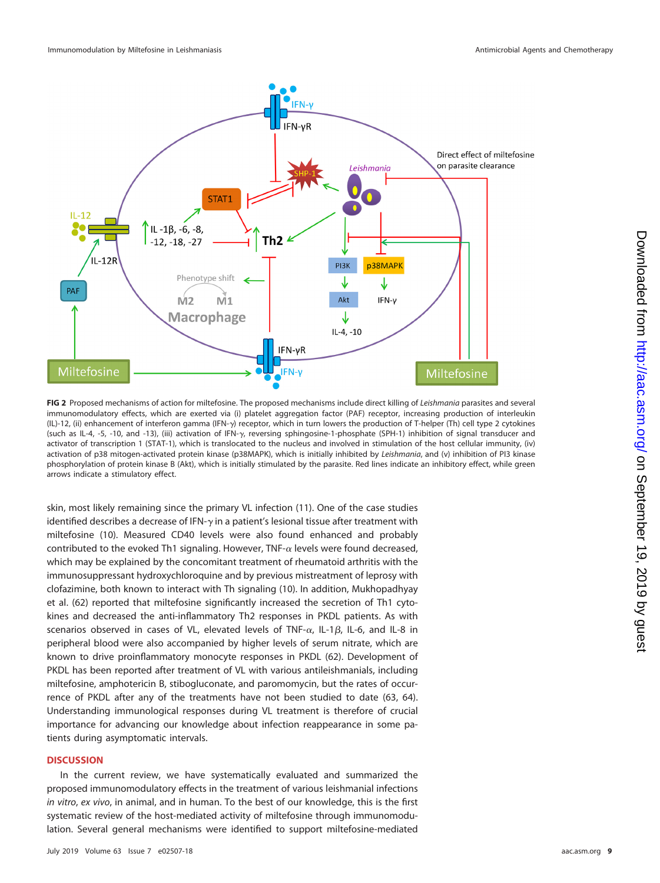

<span id="page-8-0"></span>FIG 2 Proposed mechanisms of action for miltefosine. The proposed mechanisms include direct killing of Leishmania parasites and several immunomodulatory effects, which are exerted via (i) platelet aggregation factor (PAF) receptor, increasing production of interleukin (IL)-12, (ii) enhancement of interferon gamma (IFN- $\gamma$ ) receptor, which in turn lowers the production of T-helper (Th) cell type 2 cytokines (such as IL-4, -5, -10, and -13), (iii) activation of IFN- $\gamma$ , reversing sphingosine-1-phosphate (SPH-1) inhibition of signal transducer and activator of transcription 1 (STAT-1), which is translocated to the nucleus and involved in stimulation of the host cellular immunity, (iv) activation of p38 mitogen-activated protein kinase (p38MAPK), which is initially inhibited by Leishmania, and (v) inhibition of PI3 kinase phosphorylation of protein kinase B (Akt), which is initially stimulated by the parasite. Red lines indicate an inhibitory effect, while green arrows indicate a stimulatory effect.

skin, most likely remaining since the primary VL infection [\(11\)](#page-12-10). One of the case studies identified describes a decrease of IFN- $\gamma$  in a patient's lesional tissue after treatment with miltefosine [\(10\)](#page-12-9). Measured CD40 levels were also found enhanced and probably contributed to the evoked Th1 signaling. However, TNF- $\alpha$  levels were found decreased, which may be explained by the concomitant treatment of rheumatoid arthritis with the immunosuppressant hydroxychloroquine and by previous mistreatment of leprosy with clofazimine, both known to interact with Th signaling [\(10\)](#page-12-9). In addition, Mukhopadhyay et al. [\(62\)](#page-14-10) reported that miltefosine significantly increased the secretion of Th1 cytokines and decreased the anti-inflammatory Th2 responses in PKDL patients. As with scenarios observed in cases of VL, elevated levels of TNF- $\alpha$ , IL-1 $\beta$ , IL-6, and IL-8 in peripheral blood were also accompanied by higher levels of serum nitrate, which are known to drive proinflammatory monocyte responses in PKDL [\(62\)](#page-14-10). Development of PKDL has been reported after treatment of VL with various antileishmanials, including miltefosine, amphotericin B, stibogluconate, and paromomycin, but the rates of occurrence of PKDL after any of the treatments have not been studied to date [\(63,](#page-14-11) [64\)](#page-14-12). Understanding immunological responses during VL treatment is therefore of crucial importance for advancing our knowledge about infection reappearance in some patients during asymptomatic intervals.

# **DISCUSSION**

In the current review, we have systematically evaluated and summarized the proposed immunomodulatory effects in the treatment of various leishmanial infections in vitro, ex vivo, in animal, and in human. To the best of our knowledge, this is the first systematic review of the host-mediated activity of miltefosine through immunomodulation. Several general mechanisms were identified to support miltefosine-mediated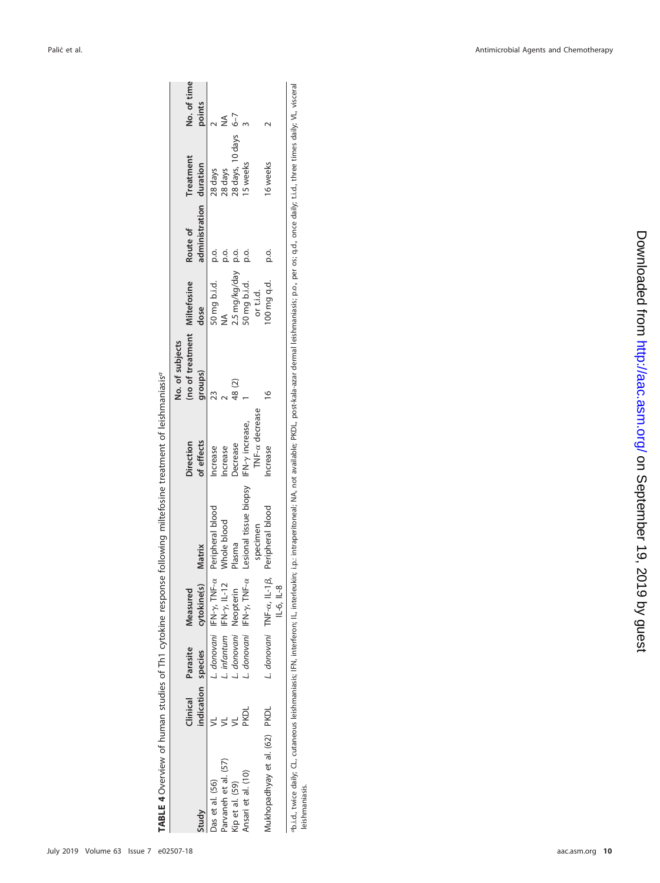|                                                                                    |                    |                                  |              |                                                                      |                | No. of subjects              |               |                         |                  |             |
|------------------------------------------------------------------------------------|--------------------|----------------------------------|--------------|----------------------------------------------------------------------|----------------|------------------------------|---------------|-------------------------|------------------|-------------|
|                                                                                    | Clinical           | Parasite                         | Measured     |                                                                      | Direction      | (no of treatment Miltefosine |               | Route of                | Treatment        | No. of time |
| Study                                                                              | indication species |                                  | cytokine(s)  | Matrix                                                               | of effects     | groups)                      | dose          | administration duration |                  | points      |
| Das et al. (56)                                                                    |                    |                                  |              | donovani IFN-y, TNF-a Peripheral blood                               | ncrease        |                              | 50 mg b.i.d.  |                         | 28 days          |             |
| Parvaneh et al. (57)                                                               |                    | . infantum IFN- $\gamma$ , IL-12 |              | Whole blood                                                          | ncrease        |                              |               | o.<br>Q                 | 28 days          |             |
| Kip et al. (59)                                                                    |                    | donovani Neopterin               |              | Plasma                                                               | Jecrease       | 48(2)                        | 2.5 mg/kg/day | ρ.<br>                  | 28 days, 10 days | $6 - 7$     |
| Ansari et al. (10)                                                                 | PKDL               |                                  |              | donovani IFN-7, TNF- $\alpha$ Lesional tissue biopsy IFN-7 increase, |                |                              | 50 mg b.i.d.  | ρ.<br>Ω                 | 15 weeks         |             |
|                                                                                    |                    |                                  |              | specimen                                                             | TNF-a decrease |                              | or ti.d.      |                         |                  |             |
| Mukhopadhyay et al. (62)                                                           | <b>PKDL</b>        |                                  |              | L. donovani TNF-a, IL-1 $\beta$ , Peripheral blood                   | Increase       |                              | 100 mg q.d.   | p.o.                    | I6 weeks         |             |
|                                                                                    |                    |                                  | $IL-6, IL-8$ |                                                                      |                |                              |               |                         |                  |             |
| 一个人,一直是一个人的人,一个人的人,一个人的人,一个人的人,一个人的人,一个人的人,一个人的人,一个人的人,一个人的人,一个人的人,一个人的人,一个人的人,一个人 |                    |                                  |              |                                                                      |                |                              |               |                         |                  |             |

<span id="page-9-0"></span>TABLE 4 Overview of human studies of Th1 cytokine response following miltefosine treatment of leishmaniasis<sup>a</sup> **TABLE 4** Overview of human studies of Th1 cytokine response following miltefosine treatment of leishmaniasisa <sup>-0</sup>b.i.d., twice daily; CL, cutaneous leishmaniasis; IFN, interferon; IL, interleukin; i.p.: intraperitoneal; NA, not available; PKDL, post-kala-azar dermal leishmaniasis; p.o., per os; q.d., once daily; t.i.d., three tim Phild, twice daily, CL, cutaneous leishmaniasis; IFN, interferon; IL, interferon; IL, interferon; intraperitoneal; NA, not available; PKDL, post-kala-azar dermal leishmaniasis; p.o., per os; q.d., once daily; t.i.d., three leishmaniasis.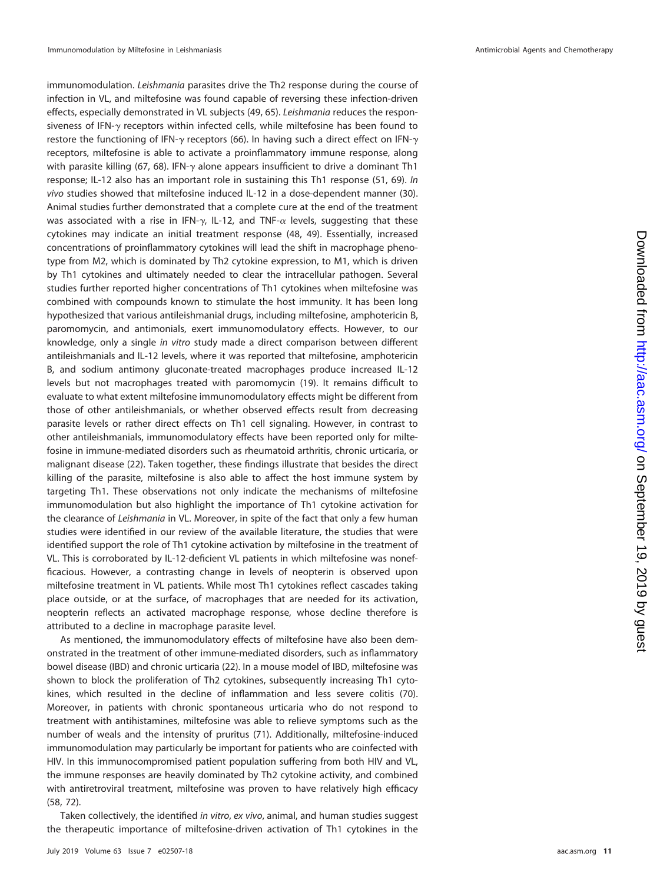immunomodulation. Leishmania parasites drive the Th2 response during the course of infection in VL, and miltefosine was found capable of reversing these infection-driven effects, especially demonstrated in VL subjects [\(49,](#page-13-26) [65\)](#page-14-13). Leishmania reduces the responsiveness of IFN- $\gamma$  receptors within infected cells, while miltefosine has been found to restore the functioning of IFN- $\gamma$  receptors [\(66\)](#page-14-14). In having such a direct effect on IFN- $\gamma$ receptors, miltefosine is able to activate a proinflammatory immune response, along with parasite killing [\(67,](#page-14-15) [68\)](#page-14-16). IFN- $\gamma$  alone appears insufficient to drive a dominant Th1 response; IL-12 also has an important role in sustaining this Th1 response [\(51,](#page-13-32) [69\)](#page-14-17). In vivo studies showed that miltefosine induced IL-12 in a dose-dependent manner [\(30\)](#page-13-12). Animal studies further demonstrated that a complete cure at the end of the treatment was associated with a rise in IFN- $\gamma$ , IL-12, and TNF- $\alpha$  levels, suggesting that these cytokines may indicate an initial treatment response [\(48,](#page-13-25) [49\)](#page-13-26). Essentially, increased concentrations of proinflammatory cytokines will lead the shift in macrophage phenotype from M2, which is dominated by Th2 cytokine expression, to M1, which is driven by Th1 cytokines and ultimately needed to clear the intracellular pathogen. Several studies further reported higher concentrations of Th1 cytokines when miltefosine was combined with compounds known to stimulate the host immunity. It has been long hypothesized that various antileishmanial drugs, including miltefosine, amphotericin B, paromomycin, and antimonials, exert immunomodulatory effects. However, to our knowledge, only a single in vitro study made a direct comparison between different antileishmanials and IL-12 levels, where it was reported that miltefosine, amphotericin B, and sodium antimony gluconate-treated macrophages produce increased IL-12 levels but not macrophages treated with paromomycin [\(19\)](#page-13-1). It remains difficult to evaluate to what extent miltefosine immunomodulatory effects might be different from those of other antileishmanials, or whether observed effects result from decreasing parasite levels or rather direct effects on Th1 cell signaling. However, in contrast to other antileishmanials, immunomodulatory effects have been reported only for miltefosine in immune-mediated disorders such as rheumatoid arthritis, chronic urticaria, or malignant disease [\(22\)](#page-13-4). Taken together, these findings illustrate that besides the direct killing of the parasite, miltefosine is also able to affect the host immune system by targeting Th1. These observations not only indicate the mechanisms of miltefosine immunomodulation but also highlight the importance of Th1 cytokine activation for the clearance of Leishmania in VL. Moreover, in spite of the fact that only a few human studies were identified in our review of the available literature, the studies that were identified support the role of Th1 cytokine activation by miltefosine in the treatment of VL. This is corroborated by IL-12-deficient VL patients in which miltefosine was nonefficacious. However, a contrasting change in levels of neopterin is observed upon miltefosine treatment in VL patients. While most Th1 cytokines reflect cascades taking place outside, or at the surface, of macrophages that are needed for its activation, neopterin reflects an activated macrophage response, whose decline therefore is attributed to a decline in macrophage parasite level.

As mentioned, the immunomodulatory effects of miltefosine have also been demonstrated in the treatment of other immune-mediated disorders, such as inflammatory bowel disease (IBD) and chronic urticaria [\(22\)](#page-13-4). In a mouse model of IBD, miltefosine was shown to block the proliferation of Th2 cytokines, subsequently increasing Th1 cytokines, which resulted in the decline of inflammation and less severe colitis [\(70\)](#page-14-18). Moreover, in patients with chronic spontaneous urticaria who do not respond to treatment with antihistamines, miltefosine was able to relieve symptoms such as the number of weals and the intensity of pruritus [\(71\)](#page-14-19). Additionally, miltefosine-induced immunomodulation may particularly be important for patients who are coinfected with HIV. In this immunocompromised patient population suffering from both HIV and VL, the immune responses are heavily dominated by Th2 cytokine activity, and combined with antiretroviral treatment, miltefosine was proven to have relatively high efficacy [\(58,](#page-14-6) [72\)](#page-14-20).

Taken collectively, the identified in vitro, ex vivo, animal, and human studies suggest the therapeutic importance of miltefosine-driven activation of Th1 cytokines in the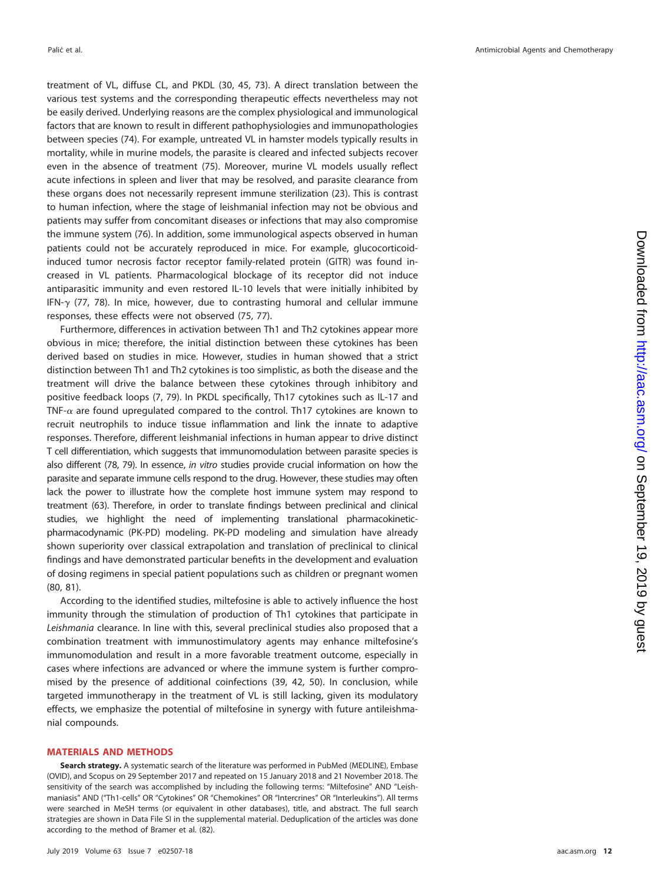treatment of VL, diffuse CL, and PKDL [\(30,](#page-13-12) [45,](#page-13-28) [73\)](#page-14-21). A direct translation between the various test systems and the corresponding therapeutic effects nevertheless may not be easily derived. Underlying reasons are the complex physiological and immunological factors that are known to result in different pathophysiologies and immunopathologies between species [\(74\)](#page-14-22). For example, untreated VL in hamster models typically results in mortality, while in murine models, the parasite is cleared and infected subjects recover even in the absence of treatment [\(75\)](#page-14-23). Moreover, murine VL models usually reflect acute infections in spleen and liver that may be resolved, and parasite clearance from these organs does not necessarily represent immune sterilization [\(23\)](#page-13-5). This is contrast to human infection, where the stage of leishmanial infection may not be obvious and patients may suffer from concomitant diseases or infections that may also compromise the immune system [\(76\)](#page-14-24). In addition, some immunological aspects observed in human patients could not be accurately reproduced in mice. For example, glucocorticoidinduced tumor necrosis factor receptor family-related protein (GITR) was found increased in VL patients. Pharmacological blockage of its receptor did not induce antiparasitic immunity and even restored IL-10 levels that were initially inhibited by IFN- $\gamma$  [\(77,](#page-14-25) [78\)](#page-14-26). In mice, however, due to contrasting humoral and cellular immune responses, these effects were not observed [\(75,](#page-14-23) [77\)](#page-14-25).

Furthermore, differences in activation between Th1 and Th2 cytokines appear more obvious in mice; therefore, the initial distinction between these cytokines has been derived based on studies in mice. However, studies in human showed that a strict distinction between Th1 and Th2 cytokines is too simplistic, as both the disease and the treatment will drive the balance between these cytokines through inhibitory and positive feedback loops [\(7,](#page-12-6) [79\)](#page-14-27). In PKDL specifically, Th17 cytokines such as IL-17 and TNF- $\alpha$  are found upregulated compared to the control. Th17 cytokines are known to recruit neutrophils to induce tissue inflammation and link the innate to adaptive responses. Therefore, different leishmanial infections in human appear to drive distinct T cell differentiation, which suggests that immunomodulation between parasite species is also different [\(78,](#page-14-26) [79\)](#page-14-27). In essence, in vitro studies provide crucial information on how the parasite and separate immune cells respond to the drug. However, these studies may often lack the power to illustrate how the complete host immune system may respond to treatment [\(63\)](#page-14-11). Therefore, in order to translate findings between preclinical and clinical studies, we highlight the need of implementing translational pharmacokineticpharmacodynamic (PK-PD) modeling. PK-PD modeling and simulation have already shown superiority over classical extrapolation and translation of preclinical to clinical findings and have demonstrated particular benefits in the development and evaluation of dosing regimens in special patient populations such as children or pregnant women [\(80,](#page-14-28) [81\)](#page-14-29).

According to the identified studies, miltefosine is able to actively influence the host immunity through the stimulation of production of Th1 cytokines that participate in Leishmania clearance. In line with this, several preclinical studies also proposed that a combination treatment with immunostimulatory agents may enhance miltefosine's immunomodulation and result in a more favorable treatment outcome, especially in cases where infections are advanced or where the immune system is further compromised by the presence of additional coinfections [\(39,](#page-13-17) [42,](#page-13-24) [50\)](#page-13-29). In conclusion, while targeted immunotherapy in the treatment of VL is still lacking, given its modulatory effects, we emphasize the potential of miltefosine in synergy with future antileishmanial compounds.

#### **MATERIALS AND METHODS**

**Search strategy.** A systematic search of the literature was performed in PubMed (MEDLINE), Embase (OVID), and Scopus on 29 September 2017 and repeated on 15 January 2018 and 21 November 2018. The sensitivity of the search was accomplished by including the following terms: "Miltefosine" AND "Leishmaniasis" AND ("Th1-cells" OR "Cytokines" OR "Chemokines" OR "Intercrines" OR "Interleukins"). All terms were searched in MeSH terms (or equivalent in other databases), title, and abstract. The full search strategies are shown in Data File SI in the supplemental material. Deduplication of the articles was done according to the method of Bramer et al. [\(82\)](#page-14-30).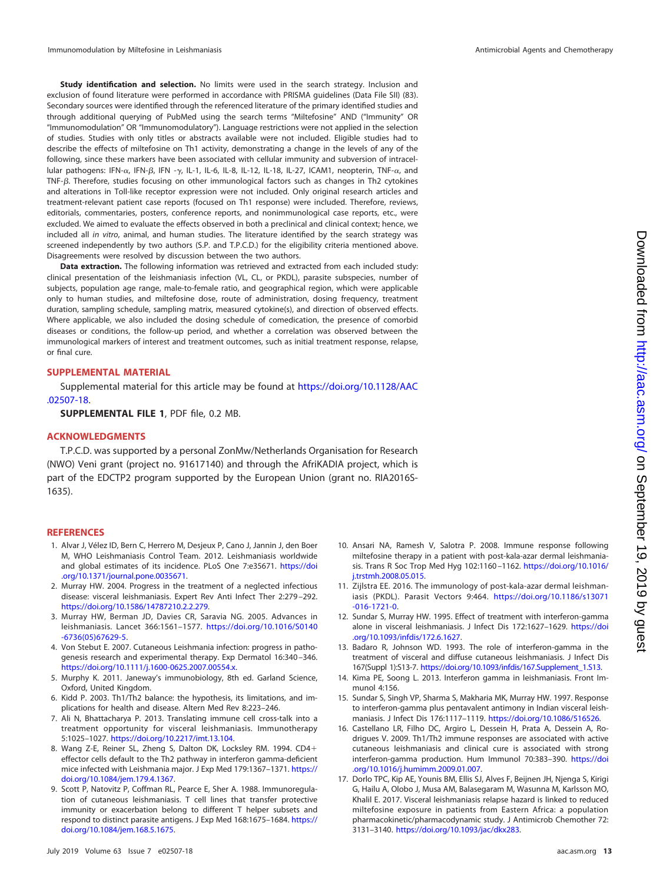**Study identification and selection.** No limits were used in the search strategy. Inclusion and exclusion of found literature were performed in accordance with PRISMA guidelines (Data File SII) [\(83\)](#page-14-31). Secondary sources were identified through the referenced literature of the primary identified studies and through additional querying of PubMed using the search terms "Miltefosine" AND ("Immunity" OR "Immunomodulation" OR "Immunomodulatory"). Language restrictions were not applied in the selection of studies. Studies with only titles or abstracts available were not included. Eligible studies had to describe the effects of miltefosine on Th1 activity, demonstrating a change in the levels of any of the following, since these markers have been associated with cellular immunity and subversion of intracellular pathogens: IFN- $\alpha$ , IFN- $\beta$ , IFN - $\gamma$ , IL-1, IL-6, IL-8, IL-12, IL-18, IL-27, ICAM1, neopterin, TNF- $\alpha$ , and TNF- $\beta$ . Therefore, studies focusing on other immunological factors such as changes in Th2 cytokines and alterations in Toll-like receptor expression were not included. Only original research articles and treatment-relevant patient case reports (focused on Th1 response) were included. Therefore, reviews, editorials, commentaries, posters, conference reports, and nonimmunological case reports, etc., were excluded. We aimed to evaluate the effects observed in both a preclinical and clinical context; hence, we included all in vitro, animal, and human studies. The literature identified by the search strategy was screened independently by two authors (S.P. and T.P.C.D.) for the eligibility criteria mentioned above. Disagreements were resolved by discussion between the two authors.

**Data extraction.** The following information was retrieved and extracted from each included study: clinical presentation of the leishmaniasis infection (VL, CL, or PKDL), parasite subspecies, number of subjects, population age range, male-to-female ratio, and geographical region, which were applicable only to human studies, and miltefosine dose, route of administration, dosing frequency, treatment duration, sampling schedule, sampling matrix, measured cytokine(s), and direction of observed effects. Where applicable, we also included the dosing schedule of comedication, the presence of comorbid diseases or conditions, the follow-up period, and whether a correlation was observed between the immunological markers of interest and treatment outcomes, such as initial treatment response, relapse, or final cure.

### **SUPPLEMENTAL MATERIAL**

Supplemental material for this article may be found at [https://doi.org/10.1128/AAC](https://doi.org/10.1128/AAC.02507-18) [.02507-18.](https://doi.org/10.1128/AAC.02507-18)

**SUPPLEMENTAL FILE 1**, PDF file, 0.2 MB.

## **ACKNOWLEDGMENTS**

T.P.C.D. was supported by a personal ZonMw/Netherlands Organisation for Research (NWO) Veni grant (project no. 91617140) and through the AfriKADIA project, which is part of the EDCTP2 program supported by the European Union (grant no. RIA2016S-1635).

## <span id="page-12-0"></span>**REFERENCES**

- 1. Alvar J, Vélez ID, Bern C, Herrero M, Desjeux P, Cano J, Jannin J, den Boer M, WHO Leishmaniasis Control Team. 2012. Leishmaniasis worldwide and global estimates of its incidence. PLoS One 7:e35671. [https://doi](https://doi.org/10.1371/journal.pone.0035671) [.org/10.1371/journal.pone.0035671.](https://doi.org/10.1371/journal.pone.0035671)
- <span id="page-12-2"></span><span id="page-12-1"></span>2. Murray HW. 2004. Progress in the treatment of a neglected infectious disease: visceral leishmaniasis. Expert Rev Anti Infect Ther 2:279 –292. [https://doi.org/10.1586/14787210.2.2.279.](https://doi.org/10.1586/14787210.2.2.279)
- <span id="page-12-3"></span>3. Murray HW, Berman JD, Davies CR, Saravia NG. 2005. Advances in leishmaniasis. Lancet 366:1561–1577. [https://doi.org/10.1016/S0140](https://doi.org/10.1016/S0140-6736(05)67629-5) [-6736\(05\)67629-5.](https://doi.org/10.1016/S0140-6736(05)67629-5)
- <span id="page-12-4"></span>4. Von Stebut E. 2007. Cutaneous Leishmania infection: progress in pathogenesis research and experimental therapy. Exp Dermatol 16:340 –346. [https://doi.org/10.1111/j.1600-0625.2007.00554.x.](https://doi.org/10.1111/j.1600-0625.2007.00554.x)
- <span id="page-12-5"></span>5. Murphy K. 2011. Janeway's immunobiology, 8th ed. Garland Science, Oxford, United Kingdom.
- <span id="page-12-6"></span>6. Kidd P. 2003. Th1/Th2 balance: the hypothesis, its limitations, and implications for health and disease. Altern Med Rev 8:223–246.
- <span id="page-12-7"></span>7. Ali N, Bhattacharya P. 2013. Translating immune cell cross-talk into a treatment opportunity for visceral leishmaniasis. Immunotherapy 5:1025–1027. [https://doi.org/10.2217/imt.13.104.](https://doi.org/10.2217/imt.13.104)
- 8. Wang Z-E, Reiner SL, Zheng S, Dalton DK, Locksley RM. 1994. CD4 effector cells default to the Th2 pathway in interferon gamma-deficient mice infected with Leishmania major. J Exp Med 179:1367–1371. [https://](https://doi.org/10.1084/jem.179.4.1367) [doi.org/10.1084/jem.179.4.1367.](https://doi.org/10.1084/jem.179.4.1367)
- <span id="page-12-8"></span>9. Scott P, Natovitz P, Coffman RL, Pearce E, Sher A. 1988. Immunoregulation of cutaneous leishmaniasis. T cell lines that transfer protective immunity or exacerbation belong to different T helper subsets and respond to distinct parasite antigens. J Exp Med 168:1675-1684. [https://](https://doi.org/10.1084/jem.168.5.1675) [doi.org/10.1084/jem.168.5.1675.](https://doi.org/10.1084/jem.168.5.1675)
- <span id="page-12-9"></span>10. Ansari NA, Ramesh V, Salotra P. 2008. Immune response following miltefosine therapy in a patient with post-kala-azar dermal leishmaniasis. Trans R Soc Trop Med Hyg 102:1160 –1162. [https://doi.org/10.1016/](https://doi.org/10.1016/j.trstmh.2008.05.015) [j.trstmh.2008.05.015.](https://doi.org/10.1016/j.trstmh.2008.05.015)
- <span id="page-12-10"></span>11. Zijlstra EE. 2016. The immunology of post-kala-azar dermal leishmaniasis (PKDL). Parasit Vectors 9:464. [https://doi.org/10.1186/s13071](https://doi.org/10.1186/s13071-016-1721-0) [-016-1721-0.](https://doi.org/10.1186/s13071-016-1721-0)
- <span id="page-12-11"></span>12. Sundar S, Murray HW. 1995. Effect of treatment with interferon-gamma alone in visceral leishmaniasis. J Infect Dis 172:1627–1629. [https://doi](https://doi.org/10.1093/infdis/172.6.1627) [.org/10.1093/infdis/172.6.1627.](https://doi.org/10.1093/infdis/172.6.1627)
- <span id="page-12-12"></span>13. Badaro R, Johnson WD. 1993. The role of interferon-gamma in the treatment of visceral and diffuse cutaneous leishmaniasis. J Infect Dis 167(Suppl 1):S13-7. [https://doi.org/10.1093/infdis/167.Supplement\\_1.S13.](https://doi.org/10.1093/infdis/167.Supplement_1.S13)
- <span id="page-12-13"></span>14. Kima PE, Soong L. 2013. Interferon gamma in leishmaniasis. Front Immunol 4:156.
- <span id="page-12-14"></span>15. Sundar S, Singh VP, Sharma S, Makharia MK, Murray HW. 1997. Response to interferon-gamma plus pentavalent antimony in Indian visceral leishmaniasis. J Infect Dis 176:1117–1119. [https://doi.org/10.1086/516526.](https://doi.org/10.1086/516526)
- 16. Castellano LR, Filho DC, Argiro L, Dessein H, Prata A, Dessein A, Rodrigues V. 2009. Th1/Th2 immune responses are associated with active cutaneous leishmaniasis and clinical cure is associated with strong interferon-gamma production. Hum Immunol 70:383–390. [https://doi](https://doi.org/10.1016/j.humimm.2009.01.007) [.org/10.1016/j.humimm.2009.01.007.](https://doi.org/10.1016/j.humimm.2009.01.007)
- <span id="page-12-15"></span>17. Dorlo TPC, Kip AE, Younis BM, Ellis SJ, Alves F, Beijnen JH, Njenga S, Kirigi G, Hailu A, Olobo J, Musa AM, Balasegaram M, Wasunna M, Karlsson MO, Khalil E. 2017. Visceral leishmaniasis relapse hazard is linked to reduced miltefosine exposure in patients from Eastern Africa: a population pharmacokinetic/pharmacodynamic study. J Antimicrob Chemother 72: 3131–3140. [https://doi.org/10.1093/jac/dkx283.](https://doi.org/10.1093/jac/dkx283)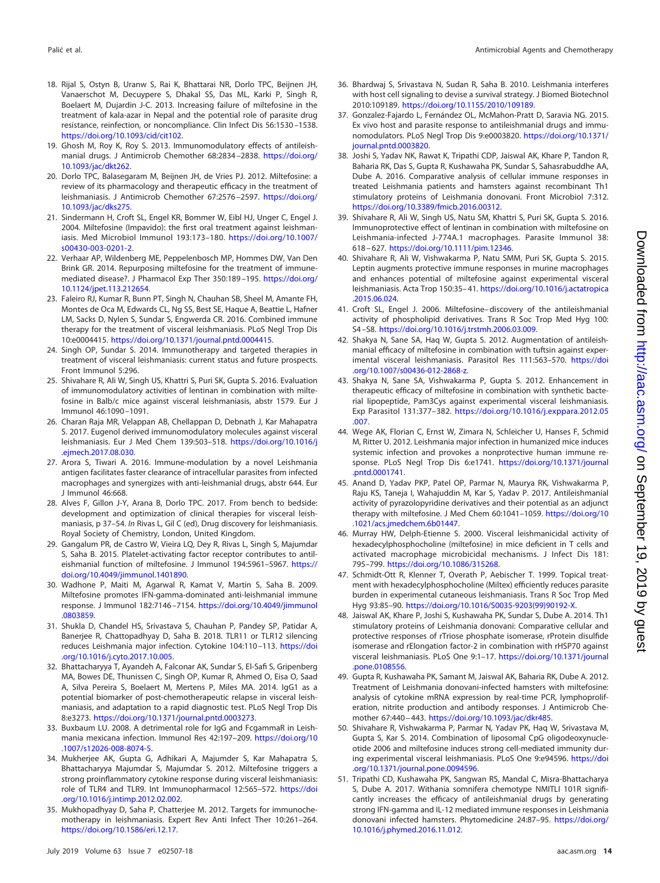- <span id="page-13-0"></span>18. Rijal S, Ostyn B, Uranw S, Rai K, Bhattarai NR, Dorlo TPC, Beijnen JH, Vanaerschot M, Decuypere S, Dhakal SS, Das ML, Karki P, Singh R, Boelaert M, Dujardin J-C. 2013. Increasing failure of miltefosine in the treatment of kala-azar in Nepal and the potential role of parasite drug resistance, reinfection, or noncompliance. Clin Infect Dis 56:1530 –1538. [https://doi.org/10.1093/cid/cit102.](https://doi.org/10.1093/cid/cit102)
- <span id="page-13-1"></span>19. Ghosh M, Roy K, Roy S. 2013. Immunomodulatory effects of antileishmanial drugs. J Antimicrob Chemother 68:2834-2838. [https://doi.org/](https://doi.org/10.1093/jac/dkt262) [10.1093/jac/dkt262.](https://doi.org/10.1093/jac/dkt262)
- <span id="page-13-2"></span>20. Dorlo TPC, Balasegaram M, Beijnen JH, de Vries PJ. 2012. Miltefosine: a review of its pharmacology and therapeutic efficacy in the treatment of leishmaniasis. J Antimicrob Chemother 67:2576 –2597. [https://doi.org/](https://doi.org/10.1093/jac/dks275) [10.1093/jac/dks275.](https://doi.org/10.1093/jac/dks275)
- <span id="page-13-3"></span>21. Sindermann H, Croft SL, Engel KR, Bommer W, Eibl HJ, Unger C, Engel J. 2004. Miltefosine (Impavido): the first oral treatment against leishmaniasis. Med Microbiol Immunol 193:173–180. [https://doi.org/10.1007/](https://doi.org/10.1007/s00430-003-0201-2) [s00430-003-0201-2.](https://doi.org/10.1007/s00430-003-0201-2)
- <span id="page-13-4"></span>22. Verhaar AP, Wildenberg ME, Peppelenbosch MP, Hommes DW, Van Den Brink GR. 2014. Repurposing miltefosine for the treatment of immunemediated disease?. J Pharmacol Exp Ther 350:189 –195. [https://doi.org/](https://doi.org/10.1124/jpet.113.212654) [10.1124/jpet.113.212654.](https://doi.org/10.1124/jpet.113.212654)
- <span id="page-13-5"></span>23. Faleiro RJ, Kumar R, Bunn PT, Singh N, Chauhan SB, Sheel M, Amante FH, Montes de Oca M, Edwards CL, Ng SS, Best SE, Haque A, Beattie L, Hafner LM, Sacks D, Nylen S, Sundar S, Engwerda CR. 2016. Combined immune therapy for the treatment of visceral leishmaniasis. PLoS Negl Trop Dis 10:e0004415. [https://doi.org/10.1371/journal.pntd.0004415.](https://doi.org/10.1371/journal.pntd.0004415)
- <span id="page-13-6"></span>24. Singh OP, Sundar S. 2014. Immunotherapy and targeted therapies in treatment of visceral leishmaniasis: current status and future prospects. Front Immunol 5:296.
- <span id="page-13-7"></span>25. Shivahare R, Ali W, Singh US, Khattri S, Puri SK, Gupta S. 2016. Evaluation of immunomodulatory activities of lentinan in combination with miltefosine in Balb/c mice against visceral leishmaniasis, abstr 1579. Eur J Immunol 46:1090 –1091.
- <span id="page-13-8"></span>26. Charan Raja MR, Velappan AB, Chellappan D, Debnath J, Kar Mahapatra S. 2017. Eugenol derived immunomodulatory molecules against visceral leishmaniasis. Eur J Med Chem 139:503–518. [https://doi.org/10.1016/j](https://doi.org/10.1016/j.ejmech.2017.08.030) [.ejmech.2017.08.030.](https://doi.org/10.1016/j.ejmech.2017.08.030)
- <span id="page-13-9"></span>27. Arora S, Tiwari A. 2016. Immune-modulation by a novel Leishmania antigen facilitates faster clearance of intracellular parasites from infected macrophages and synergizes with anti-leishmanial drugs, abstr 644. Eur J Immunol 46:668.
- <span id="page-13-10"></span>28. Alves F, Gillon J-Y, Arana B, Dorlo TPC. 2017. From bench to bedside: development and optimization of clinical therapies for visceral leishmaniasis, p 37–54. In Rivas L, Gil C (ed), Drug discovery for leishmaniasis. Royal Society of Chemistry, London, United Kingdom.
- <span id="page-13-11"></span>29. Gangalum PR, de Castro W, Vieira LQ, Dey R, Rivas L, Singh S, Majumdar S, Saha B. 2015. Platelet-activating factor receptor contributes to antileishmanial function of miltefosine. J Immunol 194:5961-5967. [https://](https://doi.org/10.4049/jimmunol.1401890) [doi.org/10.4049/jimmunol.1401890.](https://doi.org/10.4049/jimmunol.1401890)
- <span id="page-13-12"></span>30. Wadhone P, Maiti M, Agarwal R, Kamat V, Martin S, Saha B. 2009. Miltefosine promotes IFN-gamma-dominated anti-leishmanial immune response. J Immunol 182:7146 –7154. [https://doi.org/10.4049/jimmunol](https://doi.org/10.4049/jimmunol.0803859) [.0803859.](https://doi.org/10.4049/jimmunol.0803859)
- <span id="page-13-13"></span>31. Shukla D, Chandel HS, Srivastava S, Chauhan P, Pandey SP, Patidar A, Banerjee R, Chattopadhyay D, Saha B. 2018. TLR11 or TLR12 silencing reduces Leishmania major infection. Cytokine 104:110-113. [https://doi](https://doi.org/10.1016/j.cyto.2017.10.005) [.org/10.1016/j.cyto.2017.10.005.](https://doi.org/10.1016/j.cyto.2017.10.005)
- <span id="page-13-14"></span>32. Bhattacharyya T, Ayandeh A, Falconar AK, Sundar S, El-Safi S, Gripenberg MA, Bowes DE, Thunissen C, Singh OP, Kumar R, Ahmed O, Eisa O, Saad A, Silva Pereira S, Boelaert M, Mertens P, Miles MA. 2014. IgG1 as a potential biomarker of post-chemotherapeutic relapse in visceral leishmaniasis, and adaptation to a rapid diagnostic test. PLoS Negl Trop Dis 8:e3273. [https://doi.org/10.1371/journal.pntd.0003273.](https://doi.org/10.1371/journal.pntd.0003273)
- <span id="page-13-18"></span><span id="page-13-15"></span>33. Buxbaum LU. 2008. A detrimental role for IgG and FcgammaR in Leishmania mexicana infection. Immunol Res 42:197–209. [https://doi.org/10](https://doi.org/10.1007/s12026-008-8074-5) [.1007/s12026-008-8074-5.](https://doi.org/10.1007/s12026-008-8074-5)
- 34. Mukherjee AK, Gupta G, Adhikari A, Majumder S, Kar Mahapatra S, Bhattacharyya Majumdar S, Majumdar S. 2012. Miltefosine triggers a strong proinflammatory cytokine response during visceral leishmaniasis: role of TLR4 and TLR9. Int Immunopharmacol 12:565–572. [https://doi](https://doi.org/10.1016/j.intimp.2012.02.002) [.org/10.1016/j.intimp.2012.02.002.](https://doi.org/10.1016/j.intimp.2012.02.002)
- <span id="page-13-19"></span>35. Mukhopadhyay D, Saha P, Chatterjee M. 2012. Targets for immunochemotherapy in leishmaniasis. Expert Rev Anti Infect Ther 10:261–264. [https://doi.org/10.1586/eri.12.17.](https://doi.org/10.1586/eri.12.17)
- <span id="page-13-20"></span>36. Bhardwaj S, Srivastava N, Sudan R, Saha B. 2010. Leishmania interferes with host cell signaling to devise a survival strategy. J Biomed Biotechnol 2010:109189. [https://doi.org/10.1155/2010/109189.](https://doi.org/10.1155/2010/109189)
- <span id="page-13-21"></span>37. Gonzalez-Fajardo L, Fernández OL, McMahon-Pratt D, Saravia NG. 2015. Ex vivo host and parasite response to antileishmanial drugs and immunomodulators. PLoS Negl Trop Dis 9:e0003820. [https://doi.org/10.1371/](https://doi.org/10.1371/journal.pntd.0003820) [journal.pntd.0003820.](https://doi.org/10.1371/journal.pntd.0003820)
- <span id="page-13-22"></span>38. Joshi S, Yadav NK, Rawat K, Tripathi CDP, Jaiswal AK, Khare P, Tandon R, Baharia RK, Das S, Gupta R, Kushawaha PK, Sundar S, Sahasrabuddhe AA, Dube A. 2016. Comparative analysis of cellular immune responses in treated Leishmania patients and hamsters against recombinant Th1 stimulatory proteins of Leishmania donovani. Front Microbiol 7:312. [https://doi.org/10.3389/fmicb.2016.00312.](https://doi.org/10.3389/fmicb.2016.00312)
- <span id="page-13-17"></span>39. Shivahare R, Ali W, Singh US, Natu SM, Khattri S, Puri SK, Gupta S. 2016. Immunoprotective effect of lentinan in combination with miltefosine on Leishmania-infected J-774A.1 macrophages. Parasite Immunol 38: 618 – 627. [https://doi.org/10.1111/pim.12346.](https://doi.org/10.1111/pim.12346)
- <span id="page-13-16"></span>40. Shivahare R, Ali W, Vishwakarma P, Natu SMM, Puri SK, Gupta S. 2015. Leptin augments protective immune responses in murine macrophages and enhances potential of miltefosine against experimental visceral leishmaniasis. Acta Trop 150:35– 41. [https://doi.org/10.1016/j.actatropica](https://doi.org/10.1016/j.actatropica.2015.06.024) [.2015.06.024.](https://doi.org/10.1016/j.actatropica.2015.06.024)
- <span id="page-13-23"></span>41. Croft SL, Engel J. 2006. Miltefosine– discovery of the antileishmanial activity of phospholipid derivatives. Trans R Soc Trop Med Hyg 100: S4 –S8. [https://doi.org/10.1016/j.trstmh.2006.03.009.](https://doi.org/10.1016/j.trstmh.2006.03.009)
- <span id="page-13-24"></span>42. Shakya N, Sane SA, Haq W, Gupta S. 2012. Augmentation of antileishmanial efficacy of miltefosine in combination with tuftsin against experimental visceral leishmaniasis. Parasitol Res 111:563–570. [https://doi](https://doi.org/10.1007/s00436-012-2868-z) [.org/10.1007/s00436-012-2868-z.](https://doi.org/10.1007/s00436-012-2868-z)
- <span id="page-13-27"></span>43. Shakya N, Sane SA, Vishwakarma P, Gupta S. 2012. Enhancement in therapeutic efficacy of miltefosine in combination with synthetic bacterial lipopeptide, Pam3Cys against experimental visceral leishmaniasis. Exp Parasitol 131:377–382. [https://doi.org/10.1016/j.exppara.2012.05](https://doi.org/10.1016/j.exppara.2012.05.007) [.007.](https://doi.org/10.1016/j.exppara.2012.05.007)
- <span id="page-13-30"></span>44. Wege AK, Florian C, Ernst W, Zimara N, Schleicher U, Hanses F, Schmid M, Ritter U. 2012. Leishmania major infection in humanized mice induces systemic infection and provokes a nonprotective human immune response. PLoS Negl Trop Dis 6:e1741. [https://doi.org/10.1371/journal](https://doi.org/10.1371/journal.pntd.0001741) [.pntd.0001741.](https://doi.org/10.1371/journal.pntd.0001741)
- <span id="page-13-28"></span>45. Anand D, Yadav PKP, Patel OP, Parmar N, Maurya RK, Vishwakarma P, Raju KS, Taneja I, Wahajuddin M, Kar S, Yadav P. 2017. Antileishmanial activity of pyrazolopyridine derivatives and their potential as an adjunct therapy with miltefosine. J Med Chem 60:1041–1059. [https://doi.org/10](https://doi.org/10.1021/acs.jmedchem.6b01447) [.1021/acs.jmedchem.6b01447.](https://doi.org/10.1021/acs.jmedchem.6b01447)
- <span id="page-13-31"></span>46. Murray HW, Delph-Etienne S. 2000. Visceral leishmanicidal activity of hexadecylphosphocholine (miltefosine) in mice deficient in T cells and activated macrophage microbicidal mechanisms. J Infect Dis 181: 795–799. [https://doi.org/10.1086/315268.](https://doi.org/10.1086/315268)
- <span id="page-13-33"></span>47. Schmidt-Ott R, Klenner T, Overath P, Aebischer T. 1999. Topical treatment with hexadecylphosphocholine (Miltex) efficiently reduces parasite burden in experimental cutaneous leishmaniasis. Trans R Soc Trop Med Hyg 93:85–90. [https://doi.org/10.1016/S0035-9203\(99\)90192-X.](https://doi.org/10.1016/S0035-9203(99)90192-X)
- <span id="page-13-25"></span>48. Jaiswal AK, Khare P, Joshi S, Kushawaha PK, Sundar S, Dube A. 2014. Th1 stimulatory proteins of Leishmania donovani: Comparative cellular and protective responses of rTriose phosphate isomerase, rProtein disulfide isomerase and rElongation factor-2 in combination with rHSP70 against visceral leishmaniasis. PLoS One 9:1–17. [https://doi.org/10.1371/journal](https://doi.org/10.1371/journal.pone.0108556) [.pone.0108556.](https://doi.org/10.1371/journal.pone.0108556)
- <span id="page-13-26"></span>49. Gupta R, Kushawaha PK, Samant M, Jaiswal AK, Baharia RK, Dube A. 2012. Treatment of Leishmania donovani-infected hamsters with miltefosine: analysis of cytokine mRNA expression by real-time PCR, lymphoproliferation, nitrite production and antibody responses. J Antimicrob Chemother 67:440 – 443. [https://doi.org/10.1093/jac/dkr485.](https://doi.org/10.1093/jac/dkr485)
- <span id="page-13-29"></span>50. Shivahare R, Vishwakarma P, Parmar N, Yadav PK, Haq W, Srivastava M, Gupta S, Kar S. 2014. Combination of liposomal CpG oligodeoxynucleotide 2006 and miltefosine induces strong cell-mediated immunity during experimental visceral leishmaniasis. PLoS One 9:e94596. [https://doi](https://doi.org/10.1371/journal.pone.0094596) [.org/10.1371/journal.pone.0094596.](https://doi.org/10.1371/journal.pone.0094596)
- <span id="page-13-32"></span>51. Tripathi CD, Kushawaha PK, Sangwan RS, Mandal C, Misra-Bhattacharya S, Dube A. 2017. Withania somnifera chemotype NMITLI 101R significantly increases the efficacy of antileishmanial drugs by generating strong IFN-gamma and IL-12 mediated immune responses in Leishmania donovani infected hamsters. Phytomedicine 24:87–95. [https://doi.org/](https://doi.org/10.1016/j.phymed.2016.11.012) [10.1016/j.phymed.2016.11.012.](https://doi.org/10.1016/j.phymed.2016.11.012)